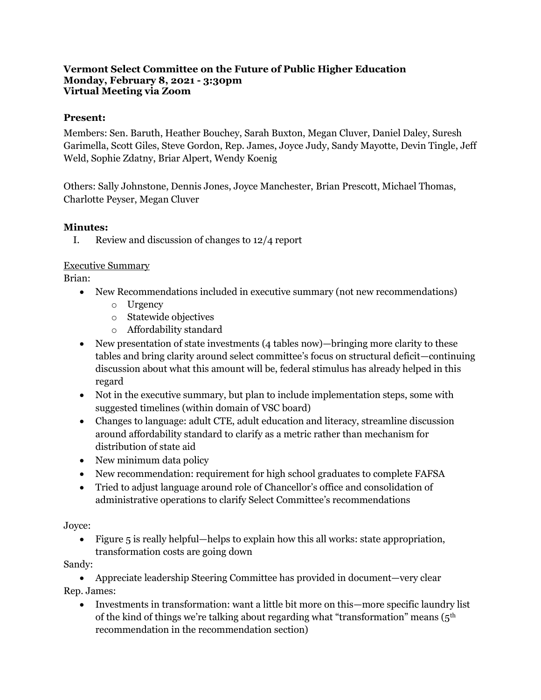#### **Vermont Select Committee on the Future of Public Higher Education Monday, February 8, 2021 - 3:30pm Virtual Meeting via Zoom**

#### **Present:**

Members: Sen. Baruth, Heather Bouchey, Sarah Buxton, Megan Cluver, Daniel Daley, Suresh Garimella, Scott Giles, Steve Gordon, Rep. James, Joyce Judy, Sandy Mayotte, Devin Tingle, Jeff Weld, Sophie Zdatny, Briar Alpert, Wendy Koenig

Others: Sally Johnstone, Dennis Jones, Joyce Manchester, Brian Prescott, Michael Thomas, Charlotte Peyser, Megan Cluver

#### **Minutes:**

I. Review and discussion of changes to 12/4 report

#### Executive Summary

Brian:

- New Recommendations included in executive summary (not new recommendations)
	- o Urgency
	- o Statewide objectives
	- o Affordability standard
- New presentation of state investments (4 tables now)—bringing more clarity to these tables and bring clarity around select committee's focus on structural deficit—continuing discussion about what this amount will be, federal stimulus has already helped in this regard
- Not in the executive summary, but plan to include implementation steps, some with suggested timelines (within domain of VSC board)
- Changes to language: adult CTE, adult education and literacy, streamline discussion around affordability standard to clarify as a metric rather than mechanism for distribution of state aid
- New minimum data policy
- New recommendation: requirement for high school graduates to complete FAFSA
- Tried to adjust language around role of Chancellor's office and consolidation of administrative operations to clarify Select Committee's recommendations

#### Joyce:

• Figure 5 is really helpful—helps to explain how this all works: state appropriation, transformation costs are going down

Sandy:

• Appreciate leadership Steering Committee has provided in document—very clear Rep. James:

• Investments in transformation: want a little bit more on this—more specific laundry list of the kind of things we're talking about regarding what "transformation" means (5th recommendation in the recommendation section)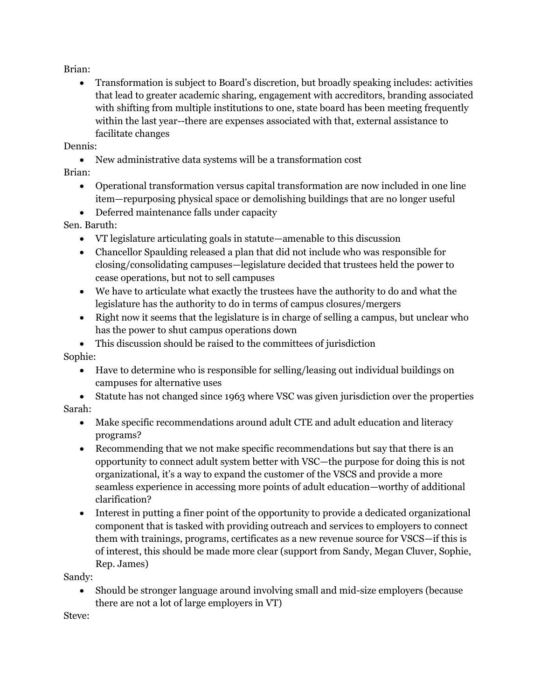Brian:

• Transformation is subject to Board's discretion, but broadly speaking includes: activities that lead to greater academic sharing, engagement with accreditors, branding associated with shifting from multiple institutions to one, state board has been meeting frequently within the last year--there are expenses associated with that, external assistance to facilitate changes

Dennis:

• New administrative data systems will be a transformation cost

Brian:

- Operational transformation versus capital transformation are now included in one line item—repurposing physical space or demolishing buildings that are no longer useful
- Deferred maintenance falls under capacity

### Sen. Baruth:

- VT legislature articulating goals in statute—amenable to this discussion
- Chancellor Spaulding released a plan that did not include who was responsible for closing/consolidating campuses—legislature decided that trustees held the power to cease operations, but not to sell campuses
- We have to articulate what exactly the trustees have the authority to do and what the legislature has the authority to do in terms of campus closures/mergers
- Right now it seems that the legislature is in charge of selling a campus, but unclear who has the power to shut campus operations down
- This discussion should be raised to the committees of jurisdiction

Sophie:

- Have to determine who is responsible for selling/leasing out individual buildings on campuses for alternative uses
- Statute has not changed since 1963 where VSC was given jurisdiction over the properties Sarah:
	- Make specific recommendations around adult CTE and adult education and literacy programs?
		- Recommending that we not make specific recommendations but say that there is an opportunity to connect adult system better with VSC—the purpose for doing this is not organizational, it's a way to expand the customer of the VSCS and provide a more seamless experience in accessing more points of adult education—worthy of additional clarification?
		- Interest in putting a finer point of the opportunity to provide a dedicated organizational component that is tasked with providing outreach and services to employers to connect them with trainings, programs, certificates as a new revenue source for VSCS—if this is of interest, this should be made more clear (support from Sandy, Megan Cluver, Sophie, Rep. James)

Sandy:

• Should be stronger language around involving small and mid-size employers (because there are not a lot of large employers in VT)

Steve: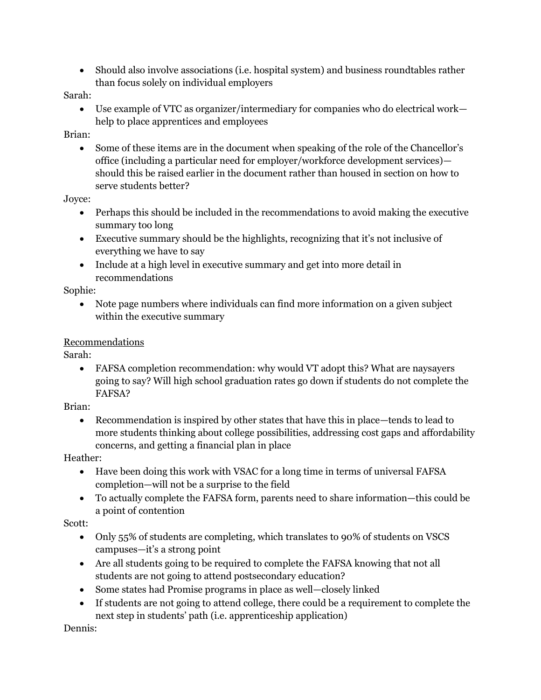• Should also involve associations (i.e. hospital system) and business roundtables rather than focus solely on individual employers

#### Sarah:

• Use example of VTC as organizer/intermediary for companies who do electrical work help to place apprentices and employees

### Brian:

• Some of these items are in the document when speaking of the role of the Chancellor's office (including a particular need for employer/workforce development services) should this be raised earlier in the document rather than housed in section on how to serve students better?

### Joyce:

- Perhaps this should be included in the recommendations to avoid making the executive summary too long
- Executive summary should be the highlights, recognizing that it's not inclusive of everything we have to say
- Include at a high level in executive summary and get into more detail in recommendations

#### Sophie:

• Note page numbers where individuals can find more information on a given subject within the executive summary

## Recommendations

Sarah:

• FAFSA completion recommendation: why would VT adopt this? What are naysayers going to say? Will high school graduation rates go down if students do not complete the FAFSA?

#### Brian:

• Recommendation is inspired by other states that have this in place—tends to lead to more students thinking about college possibilities, addressing cost gaps and affordability concerns, and getting a financial plan in place

## Heather:

- Have been doing this work with VSAC for a long time in terms of universal FAFSA completion—will not be a surprise to the field
- To actually complete the FAFSA form, parents need to share information—this could be a point of contention

## Scott:

- Only 55% of students are completing, which translates to 90% of students on VSCS campuses—it's a strong point
- Are all students going to be required to complete the FAFSA knowing that not all students are not going to attend postsecondary education?
- Some states had Promise programs in place as well—closely linked
- If students are not going to attend college, there could be a requirement to complete the next step in students' path (i.e. apprenticeship application)

Dennis: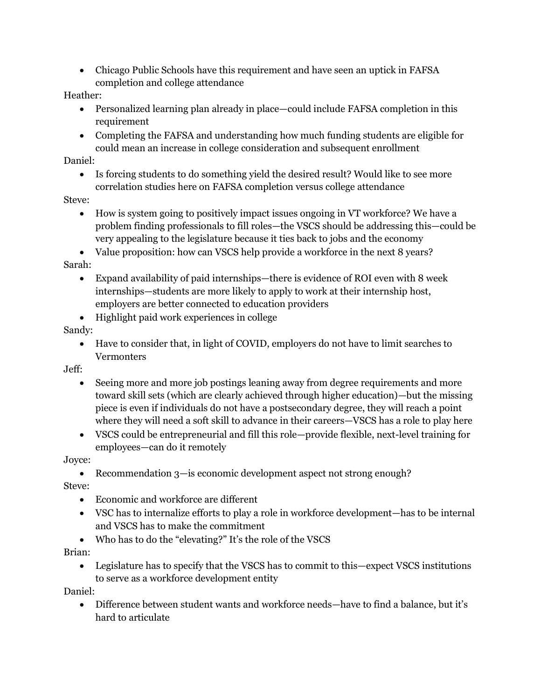• Chicago Public Schools have this requirement and have seen an uptick in FAFSA completion and college attendance

#### Heather:

- Personalized learning plan already in place—could include FAFSA completion in this requirement
- Completing the FAFSA and understanding how much funding students are eligible for could mean an increase in college consideration and subsequent enrollment

#### Daniel:

• Is forcing students to do something yield the desired result? Would like to see more correlation studies here on FAFSA completion versus college attendance

## Steve:

• How is system going to positively impact issues ongoing in VT workforce? We have a problem finding professionals to fill roles—the VSCS should be addressing this—could be very appealing to the legislature because it ties back to jobs and the economy

• Value proposition: how can VSCS help provide a workforce in the next 8 years? Sarah:

- Expand availability of paid internships—there is evidence of ROI even with 8 week internships—students are more likely to apply to work at their internship host, employers are better connected to education providers
- Highlight paid work experiences in college

## Sandy:

• Have to consider that, in light of COVID, employers do not have to limit searches to Vermonters

Jeff:

- Seeing more and more job postings leaning away from degree requirements and more toward skill sets (which are clearly achieved through higher education)—but the missing piece is even if individuals do not have a postsecondary degree, they will reach a point where they will need a soft skill to advance in their careers—VSCS has a role to play here
- VSCS could be entrepreneurial and fill this role—provide flexible, next-level training for employees—can do it remotely

## Joyce:

• Recommendation 3—is economic development aspect not strong enough?

Steve:

- Economic and workforce are different
- VSC has to internalize efforts to play a role in workforce development—has to be internal and VSCS has to make the commitment
- Who has to do the "elevating?" It's the role of the VSCS

Brian:

• Legislature has to specify that the VSCS has to commit to this—expect VSCS institutions to serve as a workforce development entity

Daniel:

• Difference between student wants and workforce needs—have to find a balance, but it's hard to articulate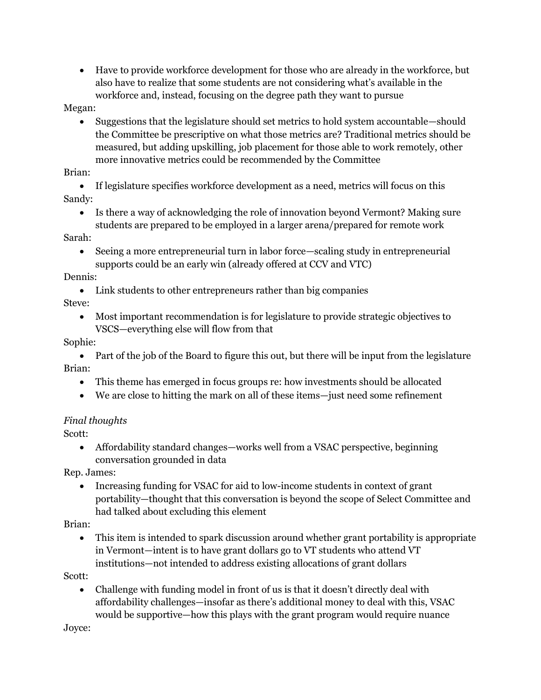• Have to provide workforce development for those who are already in the workforce, but also have to realize that some students are not considering what's available in the workforce and, instead, focusing on the degree path they want to pursue

#### Megan:

• Suggestions that the legislature should set metrics to hold system accountable—should the Committee be prescriptive on what those metrics are? Traditional metrics should be measured, but adding upskilling, job placement for those able to work remotely, other more innovative metrics could be recommended by the Committee

### Brian:

- If legislature specifies workforce development as a need, metrics will focus on this Sandy:
	- Is there a way of acknowledging the role of innovation beyond Vermont? Making sure students are prepared to be employed in a larger arena/prepared for remote work

### Sarah:

• Seeing a more entrepreneurial turn in labor force—scaling study in entrepreneurial supports could be an early win (already offered at CCV and VTC)

### Dennis:

• Link students to other entrepreneurs rather than big companies

## Steve:

• Most important recommendation is for legislature to provide strategic objectives to VSCS—everything else will flow from that

## Sophie:

• Part of the job of the Board to figure this out, but there will be input from the legislature Brian:

- This theme has emerged in focus groups re: how investments should be allocated
- We are close to hitting the mark on all of these items—just need some refinement

# *Final thoughts*

Scott:

• Affordability standard changes—works well from a VSAC perspective, beginning conversation grounded in data

Rep. James:

• Increasing funding for VSAC for aid to low-income students in context of grant portability—thought that this conversation is beyond the scope of Select Committee and had talked about excluding this element

Brian:

• This item is intended to spark discussion around whether grant portability is appropriate in Vermont—intent is to have grant dollars go to VT students who attend VT institutions—not intended to address existing allocations of grant dollars

Scott:

• Challenge with funding model in front of us is that it doesn't directly deal with affordability challenges—insofar as there's additional money to deal with this, VSAC would be supportive—how this plays with the grant program would require nuance

Joyce: